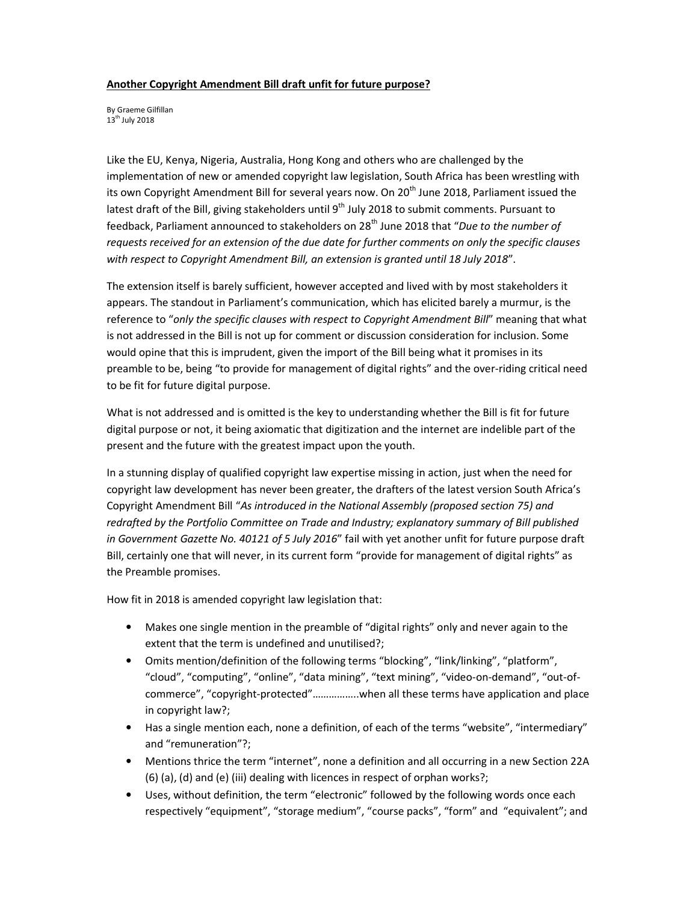## **Another Copyright Amendment Bill draft unfit for future purpose?**

By Graeme Gilfillan 13<sup>th</sup> July 2018

Like the EU, Kenya, Nigeria, Australia, Hong Kong and others who are challenged by the implementation of new or amended copyright law legislation, South Africa has been wrestling with its own Copyright Amendment Bill for several years now. On 20<sup>th</sup> June 2018, Parliament issued the latest draft of the Bill, giving stakeholders until 9<sup>th</sup> July 2018 to submit comments. Pursuant to feedback, Parliament announced to stakeholders on 28 th June 2018 that "*Due to the number of requests received for an extension of the due date for further comments on only the specific clauses with respect to Copyright Amendment Bill, an extension is granted until 18 July 2018*".

The extension itself is barely sufficient, however accepted and lived with by most stakeholders it appears. The standout in Parliament's communication, which has elicited barely a murmur, is the reference to "*only the specific clauses with respect to Copyright Amendment Bill*" meaning that what is not addressed in the Bill is not up for comment or discussion consideration for inclusion. Some would opine that this is imprudent, given the import of the Bill being what it promises in its preamble to be, being "to provide for management of digital rights" and the over-riding critical need to be fit for future digital purpose.

What is not addressed and is omitted is the key to understanding whether the Bill is fit for future digital purpose or not, it being axiomatic that digitization and the internet are indelible part of the present and the future with the greatest impact upon the youth.

In a stunning display of qualified copyright law expertise missing in action, just when the need for copyright law development has never been greater, the drafters of the latest version South Africa's Copyright Amendment Bill "*As introduced in the National Assembly (proposed section 75) and redrafted by the Portfolio Committee on Trade and Industry; explanatory summary of Bill published in Government Gazette No. 40121 of 5 July 2016*" fail with yet another unfit for future purpose draft Bill, certainly one that will never, in its current form "provide for management of digital rights" as the Preamble promises.

How fit in 2018 is amended copyright law legislation that:

- Makes one single mention in the preamble of "digital rights" only and never again to the extent that the term is undefined and unutilised?;
- Omits mention/definition of the following terms "blocking", "link/linking", "platform", "cloud", "computing", "online", "data mining", "text mining", "video-on-demand", "out-ofcommerce", "copyright-protected"……………..when all these terms have application and place in copyright law?;
- Has a single mention each, none a definition, of each of the terms "website", "intermediary" and "remuneration"?;
- Mentions thrice the term "internet", none a definition and all occurring in a new Section 22A (6) (a), (d) and (e) (iii) dealing with licences in respect of orphan works?;
- Uses, without definition, the term "electronic" followed by the following words once each respectively "equipment", "storage medium", "course packs", "form" and "equivalent"; and